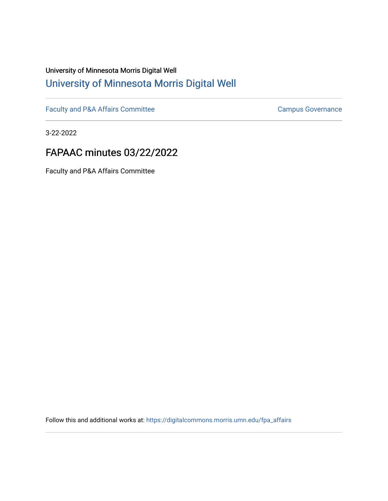# University of Minnesota Morris Digital Well [University of Minnesota Morris Digital Well](https://digitalcommons.morris.umn.edu/)

[Faculty and P&A Affairs Committee](https://digitalcommons.morris.umn.edu/fpa_affairs) [Campus Governance](https://digitalcommons.morris.umn.edu/campgov) Campus Governance

3-22-2022

# FAPAAC minutes 03/22/2022

Faculty and P&A Affairs Committee

Follow this and additional works at: [https://digitalcommons.morris.umn.edu/fpa\\_affairs](https://digitalcommons.morris.umn.edu/fpa_affairs?utm_source=digitalcommons.morris.umn.edu%2Ffpa_affairs%2F201&utm_medium=PDF&utm_campaign=PDFCoverPages)